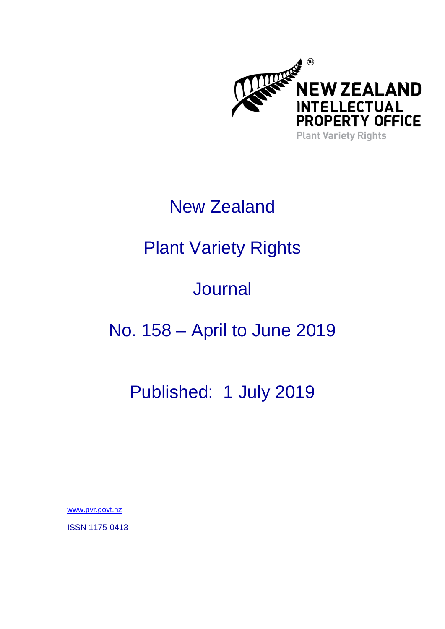

# New Zealand

# Plant Variety Rights

# **Journal**

# No. 158 – April to June 2019

## Published: 1 July 2019

[www.pvr.govt.nz](http://www.pvr.govt.nz/)

ISSN 1175-0413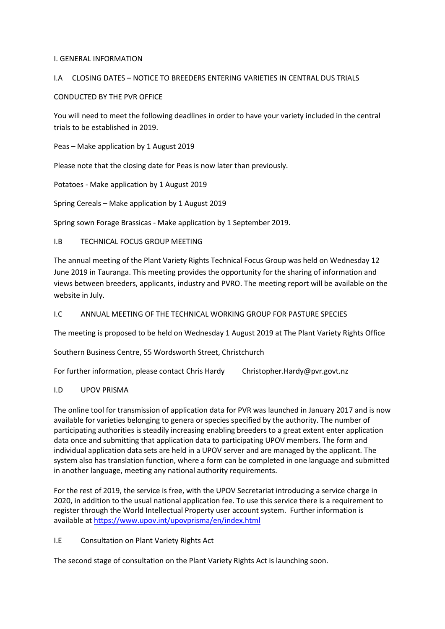### I. GENERAL INFORMATION

### I.A CLOSING DATES – NOTICE TO BREEDERS ENTERING VARIETIES IN CENTRAL DUS TRIALS

### CONDUCTED BY THE PVR OFFICE

You will need to meet the following deadlines in order to have your variety included in the central trials to be established in 2019.

Peas – Make application by 1 August 2019

Please note that the closing date for Peas is now later than previously.

Potatoes - Make application by 1 August 2019

Spring Cereals – Make application by 1 August 2019

Spring sown Forage Brassicas - Make application by 1 September 2019.

### I.B TECHNICAL FOCUS GROUP MEETING

The annual meeting of the Plant Variety Rights Technical Focus Group was held on Wednesday 12 June 2019 in Tauranga. This meeting provides the opportunity for the sharing of information and views between breeders, applicants, industry and PVRO. The meeting report will be available on the website in July.

### I.C ANNUAL MEETING OF THE TECHNICAL WORKING GROUP FOR PASTURE SPECIES

The meeting is proposed to be held on Wednesday 1 August 2019 at The Plant Variety Rights Office

Southern Business Centre, 55 Wordsworth Street, Christchurch

For further information, please contact Chris Hardy Christopher.Hardy@pvr.govt.nz

#### I.D UPOV PRISMA

The online tool for transmission of application data for PVR was launched in January 2017 and is now available for varieties belonging to genera or species specified by the authority. The number of participating authorities is steadily increasing enabling breeders to a great extent enter application data once and submitting that application data to participating UPOV members. The form and individual application data sets are held in a UPOV server and are managed by the applicant. The system also has translation function, where a form can be completed in one language and submitted in another language, meeting any national authority requirements.

For the rest of 2019, the service is free, with the UPOV Secretariat introducing a service charge in 2020, in addition to the usual national application fee. To use this service there is a requirement to register through the World Intellectual Property user account system. Further information is available a[t https://www.upov.int/upovprisma/en/index.html](https://www.upov.int/upovprisma/en/index.html)

#### I.E Consultation on Plant Variety Rights Act

The second stage of consultation on the Plant Variety Rights Act is launching soon.